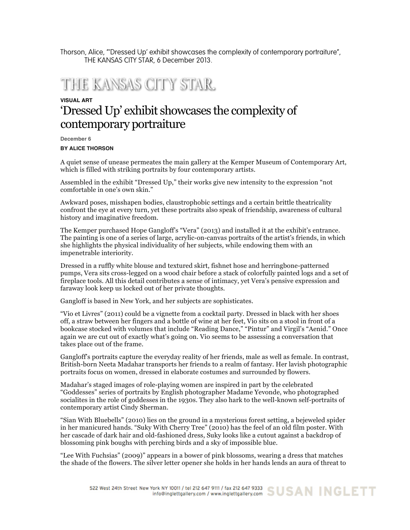Thorson, Alice, "'Dressed Up' exhibit showcases the complexity of contemporary portraiture", THE KANSAS CITY STAR, 6 December 2013.

## THIE KANSAS CITY STAR.

## **VISUAL ART** 'Dressed Up' exhibit showcases the complexity of contemporary portraiture

**December 6**

## **BY ALICE THORSON**

A quiet sense of unease permeates the main gallery at the Kemper Museum of Contemporary Art, which is filled with striking portraits by four contemporary artists.

Assembled in the exhibit "Dressed Up," their works give new intensity to the expression "not comfortable in one's own skin."

Awkward poses, misshapen bodies, claustrophobic settings and a certain brittle theatricality confront the eye at every turn, yet these portraits also speak of friendship, awareness of cultural history and imaginative freedom.

The Kemper purchased Hope Gangloff's "Vera" (2013) and installed it at the exhibit's entrance. The painting is one of a series of large, acrylic-on-canvas portraits of the artist's friends, in which she highlights the physical individuality of her subjects, while endowing them with an impenetrable interiority.

Dressed in a ruffly white blouse and textured skirt, fishnet hose and herringbone-patterned pumps, Vera sits cross-legged on a wood chair before a stack of colorfully painted logs and a set of fireplace tools. All this detail contributes a sense of intimacy, yet Vera's pensive expression and faraway look keep us locked out of her private thoughts.

Gangloff is based in New York, and her subjects are sophisticates.

"Vio et Livres" (2011) could be a vignette from a cocktail party. Dressed in black with her shoes off, a straw between her fingers and a bottle of wine at her feet, Vio sits on a stool in front of a bookcase stocked with volumes that include "Reading Dance," "Pintur" and Virgil's "Aenid." Once again we are cut out of exactly what's going on. Vio seems to be assessing a conversation that takes place out of the frame.

Gangloff's portraits capture the everyday reality of her friends, male as well as female. In contrast, British-born Neeta Madahar transports her friends to a realm of fantasy. Her lavish photographic portraits focus on women, dressed in elaborate costumes and surrounded by flowers.

Madahar's staged images of role-playing women are inspired in part by the celebrated "Goddesses" series of portraits by English photographer Madame Yevonde, who photographed socialites in the role of goddesses in the 1930s. They also hark to the well-known self-portraits of contemporary artist Cindy Sherman.

"Sian With Bluebells" (2010) lies on the ground in a mysterious forest setting, a bejeweled spider in her manicured hands. "Suky With Cherry Tree" (2010) has the feel of an old film poster. With her cascade of dark hair and old-fashioned dress, Suky looks like a cutout against a backdrop of blossoming pink boughs with perching birds and a sky of impossible blue.

"Lee With Fuchsias" (2009)" appears in a bower of pink blossoms, wearing a dress that matches the shade of the flowers. The silver letter opener she holds in her hands lends an aura of threat to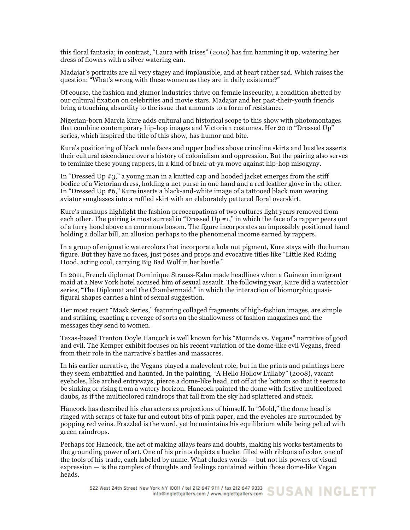this floral fantasia; in contrast, "Laura with Irises" (2010) has fun hamming it up, watering her dress of flowers with a silver watering can.

Madajar's portraits are all very stagey and implausible, and at heart rather sad. Which raises the question: "What's wrong with these women as they are in daily existence?"

Of course, the fashion and glamor industries thrive on female insecurity, a condition abetted by our cultural fixation on celebrities and movie stars. Madajar and her past-their-youth friends bring a touching absurdity to the issue that amounts to a form of resistance.

Nigerian-born Marcia Kure adds cultural and historical scope to this show with photomontages that combine contemporary hip-hop images and Victorian costumes. Her 2010 "Dressed Up" series, which inspired the title of this show, has humor and bite.

Kure's positioning of black male faces and upper bodies above crinoline skirts and bustles asserts their cultural ascendance over a history of colonialism and oppression. But the pairing also serves to feminize these young rappers, in a kind of back-at-ya move against hip-hop misogyny.

In "Dressed Up #3," a young man in a knitted cap and hooded jacket emerges from the stiff bodice of a Victorian dress, holding a net purse in one hand and a red leather glove in the other. In "Dressed Up #6," Kure inserts a black-and-white image of a tattooed black man wearing aviator sunglasses into a ruffled skirt with an elaborately pattered floral overskirt.

Kure's mashups highlight the fashion preoccupations of two cultures light years removed from each other. The pairing is most surreal in "Dressed Up #1," in which the face of a rapper peers out of a furry hood above an enormous bosom. The figure incorporates an impossibly positioned hand holding a dollar bill, an allusion perhaps to the phenomenal income earned by rappers.

In a group of enigmatic watercolors that incorporate kola nut pigment, Kure stays with the human figure. But they have no faces, just poses and props and evocative titles like "Little Red Riding Hood, acting cool, carrying Big Bad Wolf in her bustle."

In 2011, French diplomat Dominique Strauss-Kahn made headlines when a Guinean immigrant maid at a New York hotel accused him of sexual assault. The following year, Kure did a watercolor series, "The Diplomat and the Chambermaid," in which the interaction of biomorphic quasifigural shapes carries a hint of sexual suggestion.

Her most recent "Mask Series," featuring collaged fragments of high-fashion images, are simple and striking, exacting a revenge of sorts on the shallowness of fashion magazines and the messages they send to women.

Texas-based Trenton Doyle Hancock is well known for his "Mounds vs. Vegans" narrative of good and evil. The Kemper exhibit focuses on his recent variation of the dome-like evil Vegans, freed from their role in the narrative's battles and massacres.

In his earlier narrative, the Vegans played a malevolent role, but in the prints and paintings here they seem embatttled and haunted. In the painting, "A Hello Hollow Lullaby" (2008), vacant eyeholes, like arched entryways, pierce a dome-like head, cut off at the bottom so that it seems to be sinking or rising from a watery horizon. Hancock painted the dome with festive multicolored daubs, as if the multicolored raindrops that fall from the sky had splattered and stuck.

Hancock has described his characters as projections of himself. In "Mold," the dome head is ringed with scraps of fake fur and cutout bits of pink paper, and the eyeholes are surrounded by popping red veins. Frazzled is the word, yet he maintains his equilibrium while being pelted with green raindrops.

Perhaps for Hancock, the act of making allays fears and doubts, making his works testaments to the grounding power of art. One of his prints depicts a bucket filled with ribbons of color, one of the tools of his trade, each labeled by name. What eludes words — but not his powers of visual expression — is the complex of thoughts and feelings contained within those dome-like Vegan heads.

522 West 24th Street New York NY 10011 / tel 212 647 9111 / fax 212 647 9333 SUSAN INGLETT